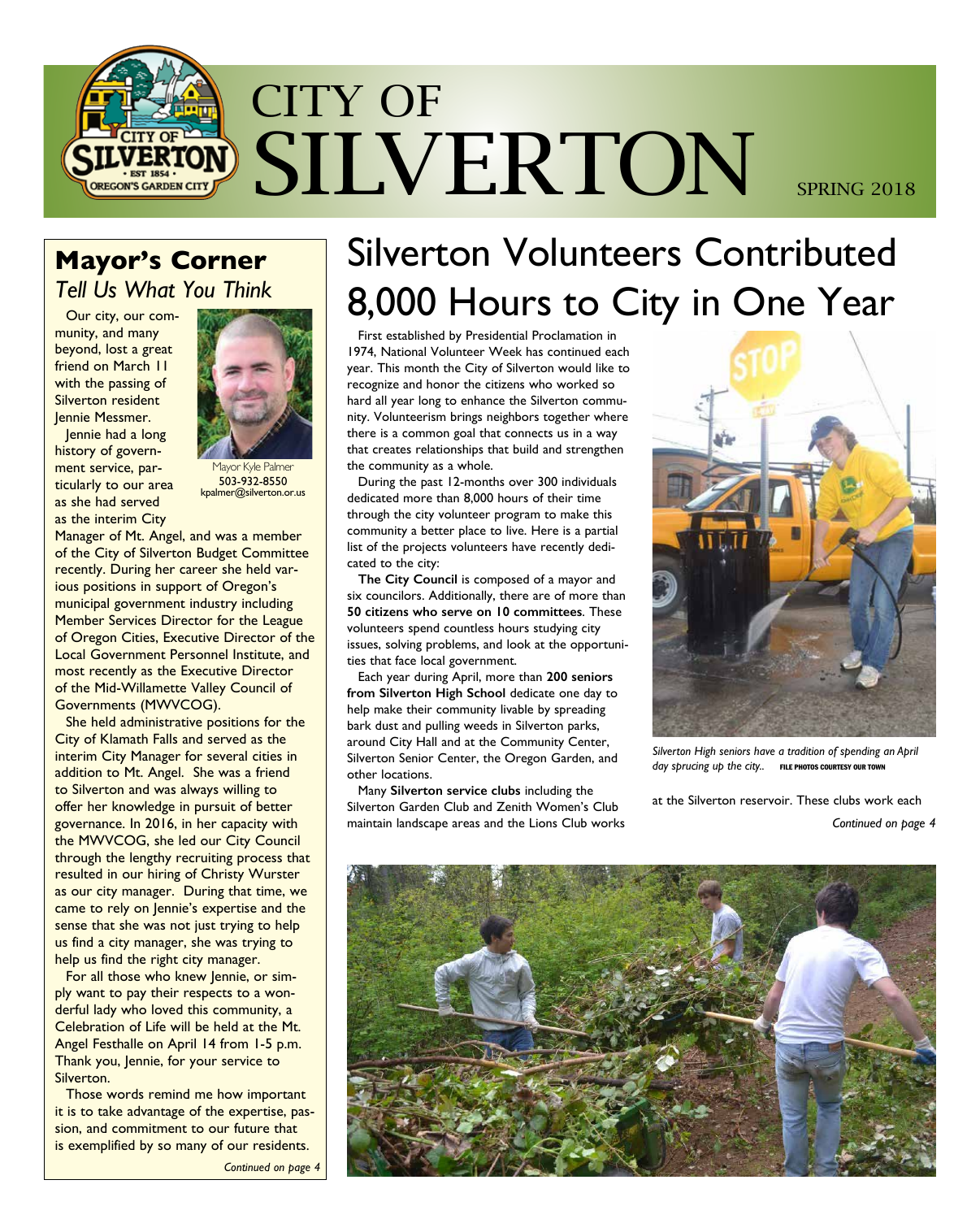

### **Mayor's Corner**  *Tell Us What You Think*

Our city, our community, and many beyond, lost a great friend on March 11 with the passing of Silverton resident Jennie Messmer.



Jennie had a long history of government service, particularly to our area as she had served as the interim City

1avor Kyle Palmer 503-932-8550 kpalmer@silverton.or.us

Manager of Mt. Angel, and was a member of the City of Silverton Budget Committee recently. During her career she held various positions in support of Oregon's municipal government industry including Member Services Director for the League of Oregon Cities, Executive Director of the Local Government Personnel Institute, and most recently as the Executive Director of the Mid-Willamette Valley Council of Governments (MWVCOG).

She held administrative positions for the City of Klamath Falls and served as the interim City Manager for several cities in addition to Mt. Angel. She was a friend to Silverton and was always willing to offer her knowledge in pursuit of better governance. In 2016, in her capacity with the MWVCOG, she led our City Council through the lengthy recruiting process that resulted in our hiring of Christy Wurster as our city manager. During that time, we came to rely on Jennie's expertise and the sense that she was not just trying to help us find a city manager, she was trying to help us find the right city manager.

For all those who knew Jennie, or simply want to pay their respects to a wonderful lady who loved this community, a Celebration of Life will be held at the Mt. Angel Festhalle on April 14 from 1-5 p.m. Thank you, Jennie, for your service to Silverton.

Those words remind me how important it is to take advantage of the expertise, passion, and commitment to our future that is exemplified by so many of our residents.

*Continued on page 4*

# Silverton Volunteers Contributed 8,000 Hours to City in One Year

First established by Presidential Proclamation in 1974, National Volunteer Week has continued each year. This month the City of Silverton would like to recognize and honor the citizens who worked so hard all year long to enhance the Silverton community. Volunteerism brings neighbors together where there is a common goal that connects us in a way that creates relationships that build and strengthen the community as a whole.

During the past 12-months over 300 individuals dedicated more than 8,000 hours of their time through the city volunteer program to make this community a better place to live. Here is a partial list of the projects volunteers have recently dedicated to the city:

**The City Council** is composed of a mayor and six councilors. Additionally, there are of more than **50 citizens who serve on 10 committees**. These volunteers spend countless hours studying city issues, solving problems, and look at the opportunities that face local government.

Each year during April, more than **200 seniors from Silverton High School** dedicate one day to help make their community livable by spreading bark dust and pulling weeds in Silverton parks, around City Hall and at the Community Center, Silverton Senior Center, the Oregon Garden, and other locations.

Many **Silverton service clubs** including the Silverton Garden Club and Zenith Women's Club maintain landscape areas and the Lions Club works



*Silverton High seniors have a tradition of spending an April*  day sprucing up the city.. FILE PHOTOS COURTESY OUR TOWN

at the Silverton reservoir. These clubs work each *Continued on page 4*

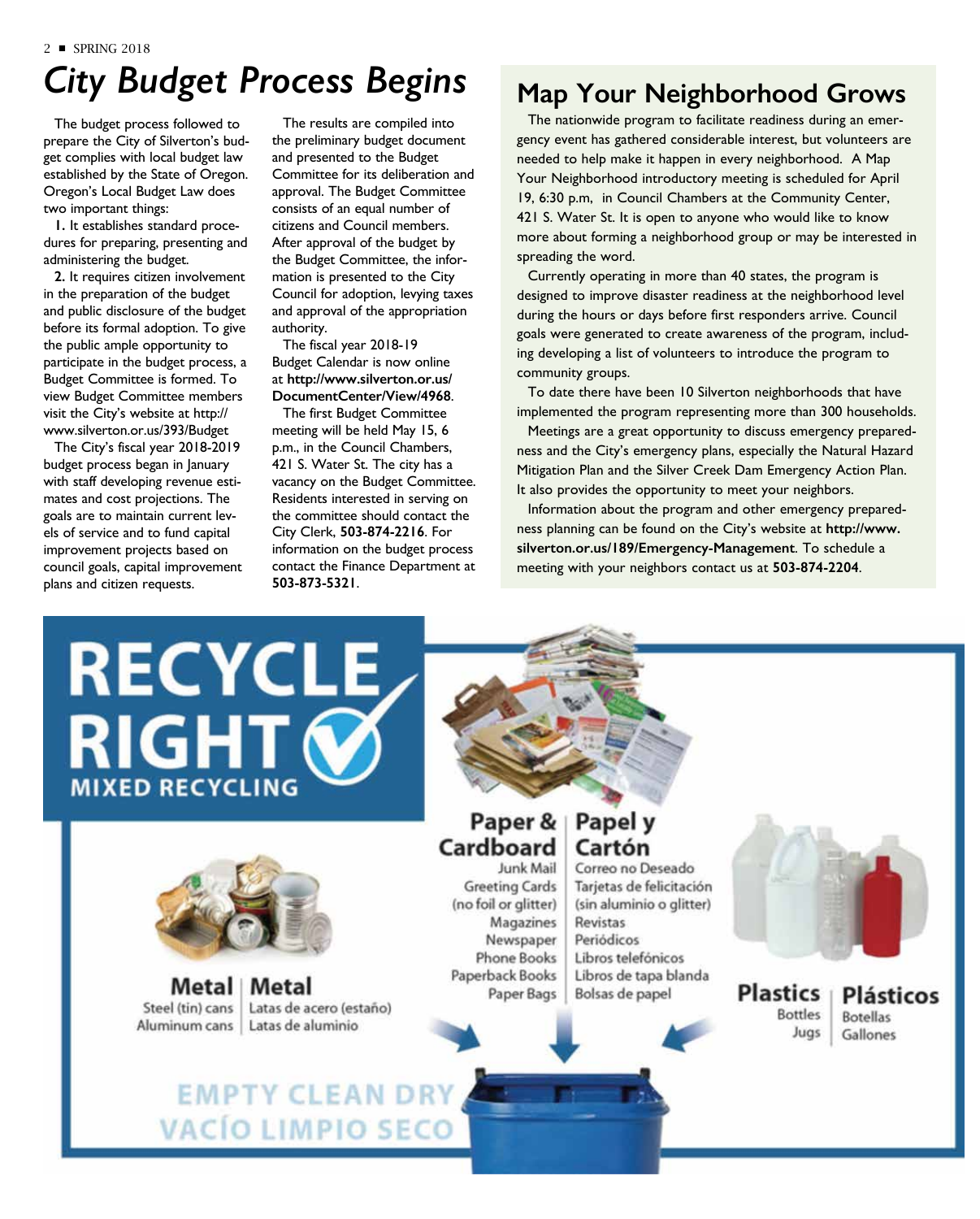## *City Budget Process Begins*

The budget process followed to prepare the City of Silverton's budget complies with local budget law established by the State of Oregon. Oregon's Local Budget Law does two important things:

**1.** It establishes standard procedures for preparing, presenting and administering the budget.

**2.** It requires citizen involvement in the preparation of the budget and public disclosure of the budget before its formal adoption. To give the public ample opportunity to participate in the budget process, a Budget Committee is formed. To view Budget Committee members visit the City's website at http:// www.silverton.or.us/393/Budget

The City's fiscal year 2018-2019 budget process began in January with staff developing revenue estimates and cost projections. The goals are to maintain current levels of service and to fund capital improvement projects based on council goals, capital improvement plans and citizen requests.

The results are compiled into the preliminary budget document and presented to the Budget Committee for its deliberation and approval. The Budget Committee consists of an equal number of citizens and Council members. After approval of the budget by the Budget Committee, the information is presented to the City Council for adoption, levying taxes and approval of the appropriation authority.

The fiscal year 2018-19 Budget Calendar is now online at **http://www.silverton.or.us/ DocumentCenter/View/4968**.

The first Budget Committee meeting will be held May 15, 6 p.m., in the Council Chambers, 421 S. Water St. The city has a vacancy on the Budget Committee. Residents interested in serving on the committee should contact the City Clerk, **503-874-2216**. For information on the budget process contact the Finance Department at **503-873-5321**.

#### **Map Your Neighborhood Grows**

The nationwide program to facilitate readiness during an emergency event has gathered considerable interest, but volunteers are needed to help make it happen in every neighborhood. A Map Your Neighborhood introductory meeting is scheduled for April 19, 6:30 p.m, in Council Chambers at the Community Center, 421 S. Water St. It is open to anyone who would like to know more about forming a neighborhood group or may be interested in spreading the word.

Currently operating in more than 40 states, the program is designed to improve disaster readiness at the neighborhood level during the hours or days before first responders arrive. Council goals were generated to create awareness of the program, including developing a list of volunteers to introduce the program to community groups.

To date there have been 10 Silverton neighborhoods that have implemented the program representing more than 300 households.

Meetings are a great opportunity to discuss emergency preparedness and the City's emergency plans, especially the Natural Hazard Mitigation Plan and the Silver Creek Dam Emergency Action Plan. It also provides the opportunity to meet your neighbors.

Information about the program and other emergency preparedness planning can be found on the City's website at **http://www. silverton.or.us/189/Emergency-Management**. To schedule a meeting with your neighbors contact us at **503-874-2204**.

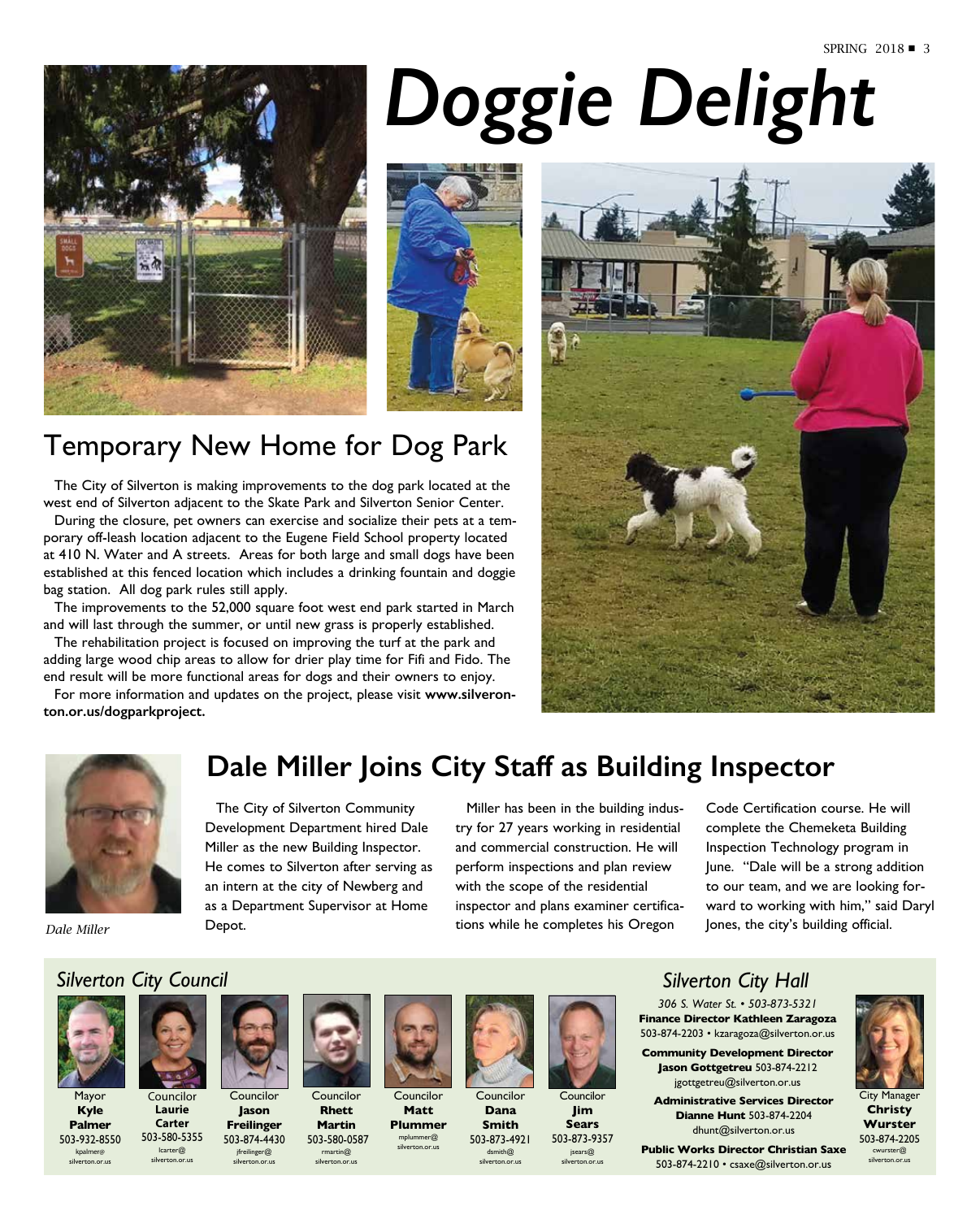

# *Doggie Delight*



## Temporary New Home for Dog Park

The City of Silverton is making improvements to the dog park located at the west end of Silverton adjacent to the Skate Park and Silverton Senior Center.

During the closure, pet owners can exercise and socialize their pets at a temporary off-leash location adjacent to the Eugene Field School property located at 410 N. Water and A streets. Areas for both large and small dogs have been established at this fenced location which includes a drinking fountain and doggie bag station. All dog park rules still apply.

The improvements to the 52,000 square foot west end park started in March and will last through the summer, or until new grass is properly established.

The rehabilitation project is focused on improving the turf at the park and adding large wood chip areas to allow for drier play time for Fifi and Fido. The end result will be more functional areas for dogs and their owners to enjoy.

For more information and updates on the project, please visit **www.silveronton.or.us/dogparkproject.**





## **Dale Miller Joins City Staff as Building Inspector**

The City of Silverton Community Development Department hired Dale Miller as the new Building Inspector. He comes to Silverton after serving as an intern at the city of Newberg and as a Department Supervisor at Home Depot.

Miller has been in the building industry for 27 years working in residential and commercial construction. He will perform inspections and plan review with the scope of the residential inspector and plans examiner certifications while he completes his Oregon

Code Certification course. He will complete the Chemeketa Building Inspection Technology program in June. "Dale will be a strong addition to our team, and we are looking forward to working with him," said Daryl Jones, the city's building official.

*Dale Miller*

#### *Silverton City Council*



Mayor **Kyle Palmer**

503-932-8550 kpalmer@ silverton.or.us **Laurie**  503-580-5355 lcarter@ silverton.or.us

**Carter**



Councilor **Jason Freilinger** 503-874-4430 jfreilinger@ silverton.or.us



Councilor **Matt Plummer** 

**Rhett Martin** 503-580-0587 rmartin@ silverton.or.us





Councilor **Dana Smith** 503-873-4921





dsmith@ silverton.or.us



**Jim Sears** 503-873-9357 jsears@ silverton.or.us

#### *Silverton City Hall*

*306 S. Water St. • 503-873-5321* **Finance Director Kathleen Zaragoza** 503-874-2203 • kzaragoza@silverton.or.us

**Community Development Director Jason Gottgetreu** 503-874-2212 jgottgetreu@silverton.or.us

**Administrative Services Director Dianne Hunt** 503-874-2204 dhunt@silverton.or.us

**Public Works Director Christian Saxe**  503-874-2210 • csaxe@silverton.or.us



**Christy Wurster** 503-874-2205 cwurster@ silverton.or.us